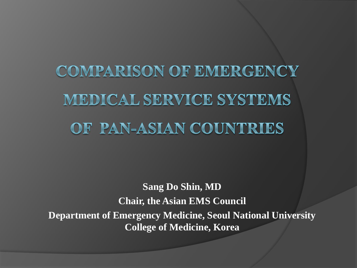**COMPARISON OF EMERGENCY** MEDICAL SERVICE SYSTEMS OF PAN-ASIAN COUNTRIES

**Sang Do Shin, MD Chair, the Asian EMS Council Department of Emergency Medicine, Seoul National University College of Medicine, Korea**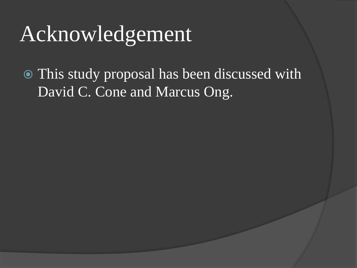## Acknowledgement

 This study proposal has been discussed with David C. Cone and Marcus Ong.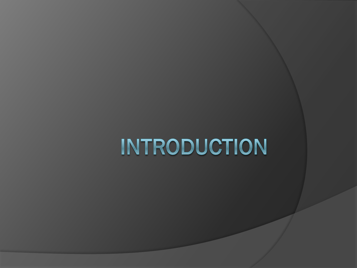# INTRODUCTION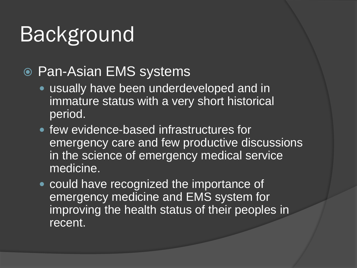- Pan-Asian EMS systems
	- usually have been underdeveloped and in immature status with a very short historical period.
	- few evidence-based infrastructures for emergency care and few productive discussions in the science of emergency medical service medicine.
	- **could have recognized the importance of** emergency medicine and EMS system for improving the health status of their peoples in recent.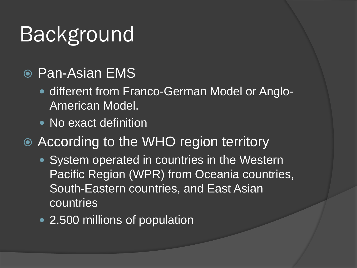- **O** Pan-Asian EMS
	- different from Franco-German Model or Anglo-American Model.
	- No exact definition
- According to the WHO region territory
	- System operated in countries in the Western Pacific Region (WPR) from Oceania countries, South-Eastern countries, and East Asian countries
	- 2.500 millions of population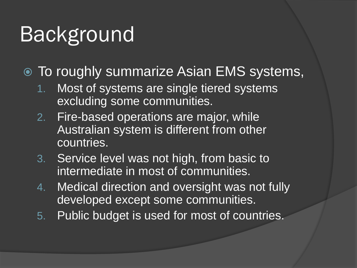- To roughly summarize Asian EMS systems,
	- 1. Most of systems are single tiered systems excluding some communities.
	- 2. Fire-based operations are major, while Australian system is different from other countries.
	- 3. Service level was not high, from basic to intermediate in most of communities.
	- 4. Medical direction and oversight was not fully developed except some communities.
	- 5. Public budget is used for most of countries.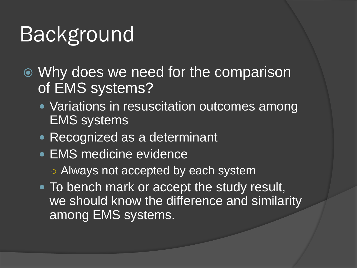- Why does we need for the comparison of EMS systems?
	- **Variations in resuscitation outcomes among** EMS systems
	- Recognized as a determinant
	- EMS medicine evidence
		- Always not accepted by each system
	- To bench mark or accept the study result, we should know the difference and similarity among EMS systems.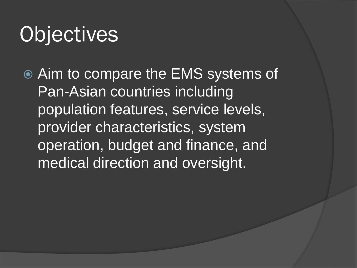## **Objectives**

 Aim to compare the EMS systems of Pan-Asian countries including population features, service levels, provider characteristics, system operation, budget and finance, and medical direction and oversight.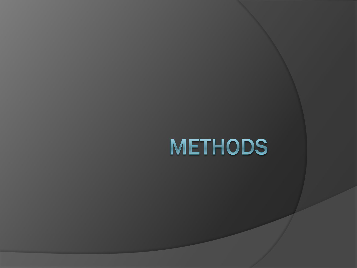## **METHODS**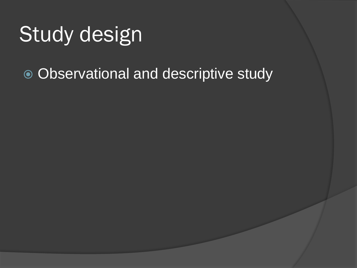## Study design

• Observational and descriptive study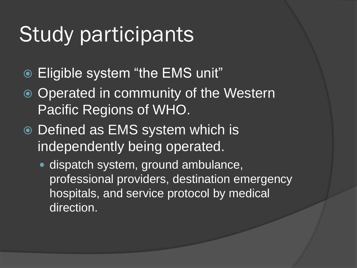### Study participants

- Eligible system "the EMS unit"
- Operated in community of the Western Pacific Regions of WHO.
- Defined as EMS system which is independently being operated.
	- dispatch system, ground ambulance, professional providers, destination emergency hospitals, and service protocol by medical direction.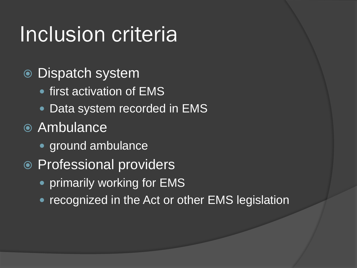## Inclusion criteria

- Dispatch system
	- first activation of EMS
	- Data system recorded in EMS
- Ambulance
	- ground ambulance
- Professional providers
	- primarily working for EMS
	- recognized in the Act or other EMS legislation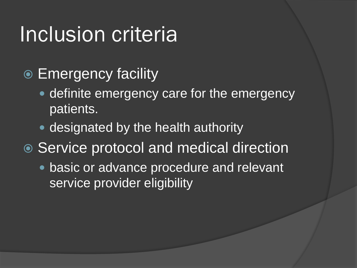### Inclusion criteria

- **Emergency facility** 
	- definite emergency care for the emergency patients.
	- designated by the health authority
- Service protocol and medical direction
	- basic or advance procedure and relevant service provider eligibility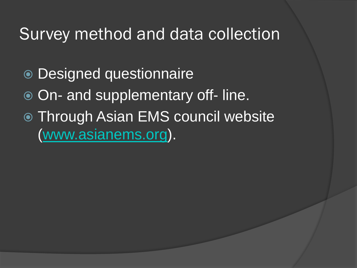#### Survey method and data collection

- Designed questionnaire
- $\overline{\odot}$  On- and supplementary off-line.
- Through Asian EMS council website [\(www.asianems.org\)](http://www.asianems.org/).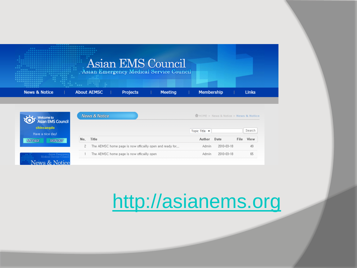

|                                                    | Wews & Notice'                                               | HOME > News & Notice > News & Notice |  |  |  |  |
|----------------------------------------------------|--------------------------------------------------------------|--------------------------------------|--|--|--|--|
| sian EMS Council<br>shinsangdo<br>Have a nice day! |                                                              | Search<br>Topic Title -              |  |  |  |  |
| <b>MY PAGE</b><br><b>SIGN OUT</b>                  | Title<br>No.                                                 | View<br>Date<br>File                 |  |  |  |  |
|                                                    | The AEMSC home page is now offically open and ready for<br>2 | 2010-03-18<br>49<br>Admin            |  |  |  |  |
| Asian Emergen<br>Modical Service Cour              | The AEMSC home page is now officailly open                   | 2010-03-18<br>Admin.<br>65           |  |  |  |  |

### [http://asianems.org](http://asianems.org/)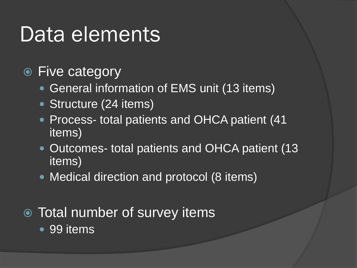### Data elements

- Five category
	- General information of EMS unit (13 items)
	- Structure (24 items)
	- Process- total patients and OHCA patient (41) items)
	- Outcomes- total patients and OHCA patient (13) items)
	- Medical direction and protocol (8 items)
- Total number of survey items
	- 99 items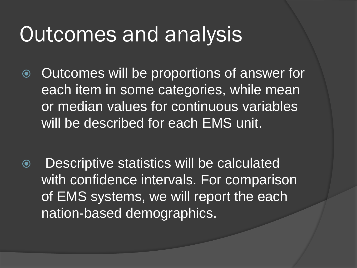### Outcomes and analysis

- **◎** Outcomes will be proportions of answer for each item in some categories, while mean or median values for continuous variables will be described for each EMS unit.
- Descriptive statistics will be calculated with confidence intervals. For comparison of EMS systems, we will report the each nation-based demographics.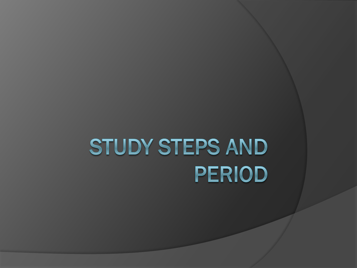# STUDY STEPS AND **PERIOD**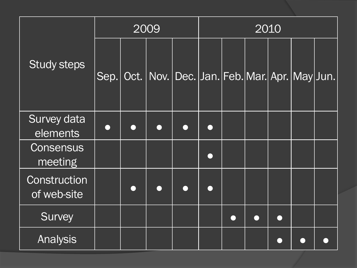|                             | 2009 |      |  | 2010                                               |            |  |        |  |  |  |
|-----------------------------|------|------|--|----------------------------------------------------|------------|--|--------|--|--|--|
| <b>Study steps</b>          | Sep. | Oct. |  | Nov.   Dec.   Jan.   Feb.   Mar.   Apr.   May Jun. |            |  |        |  |  |  |
| Survey data<br>elements     |      |      |  |                                                    |            |  |        |  |  |  |
| Consensus<br>meeting        |      |      |  |                                                    | $\sqrt{2}$ |  |        |  |  |  |
| Construction<br>of web-site |      |      |  |                                                    |            |  |        |  |  |  |
| <b>Survey</b>               |      |      |  |                                                    |            |  | $\Box$ |  |  |  |
| <b>Analysis</b>             |      |      |  |                                                    |            |  |        |  |  |  |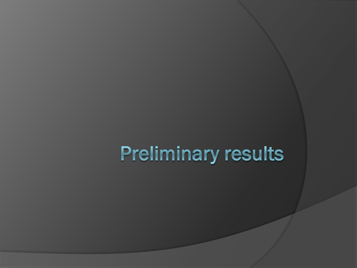## **Preliminary results**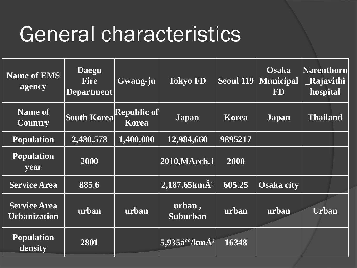### General characteristics

| <b>Name of EMS</b><br>agency               | <b>Daegu</b><br><b>Fire</b><br>Department | Gwang-ju                           | <b>Tokyo FD</b>                               | Seoul $119$ | <b>Osaka</b><br><b>Municipal</b><br><b>FD</b> | Narenthorn<br><b>Rajavithi</b><br>hospital |
|--------------------------------------------|-------------------------------------------|------------------------------------|-----------------------------------------------|-------------|-----------------------------------------------|--------------------------------------------|
| Name of<br><b>Country</b>                  | South Korea                               | <b>Republic of</b><br><b>Korea</b> | <b>Japan</b>                                  | Korea       | <b>Japan</b>                                  | <b>Thailand</b>                            |
| <b>Population</b>                          | 2,480,578                                 | 1,400,000                          | 12,984,660                                    | 9895217     |                                               |                                            |
| <b>Population</b><br>year                  | 2000                                      |                                    | $\left 2010,\text{MArch.1}\right $            | 2000        |                                               |                                            |
| <b>Service Area</b>                        | 885.6                                     |                                    | $ 2,187.65km\rm{\AA}^2 $                      | 605.25      | <b>Osaka city</b>                             |                                            |
| <b>Service Area</b><br><b>Urbanization</b> | urban                                     | urban                              | urban,<br><b>Suburban</b>                     | urban       | urban                                         | <b>Urban</b>                               |
| <b>Population</b><br>density               | 2801                                      |                                    | $ 5,\!935$ ä $^{\rm oo}$ /km $\rm \hat{A}^2 $ | 16348       |                                               |                                            |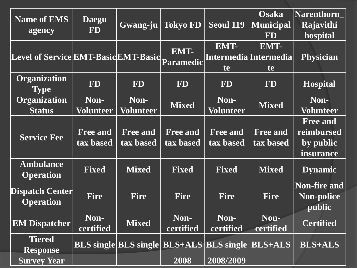| <b>Name of EMS</b><br>agency               | <b>Daegu</b><br><b>FD</b>    | Gwang-ju                     | <b>Tokyo FD</b>              | <b>Seoul 119</b>                                                      | <b>Osaka</b><br><b>Municipal</b><br><b>FD</b> | <b>Narenthorn</b><br>Rajavithi<br>hospital              |
|--------------------------------------------|------------------------------|------------------------------|------------------------------|-----------------------------------------------------------------------|-----------------------------------------------|---------------------------------------------------------|
| Level of Service EMT-Basic EMT-Basic       |                              |                              | EMT-<br>Paramedic            | EMT-<br>te                                                            | EMT-<br>Intermedia Intermedia<br>te           | <b>Physician</b>                                        |
| Organization<br><b>Type</b>                | <b>FD</b>                    | <b>FD</b>                    | <b>FD</b>                    | <b>FD</b>                                                             | <b>FD</b>                                     | <b>Hospital</b>                                         |
| Organization<br><b>Status</b>              | Non-<br><b>Volunteer</b>     | Non-<br><b>Volunteer</b>     | <b>Mixed</b>                 | Non-<br><b>Volunteer</b>                                              | <b>Mixed</b>                                  | Non-<br><b>Volunteer</b>                                |
| <b>Service Fee</b>                         | <b>Free and</b><br>tax based | <b>Free and</b><br>tax based | <b>Free and</b><br>tax based | <b>Free and</b><br>tax based                                          | <b>Free and</b><br>tax based                  | <b>Free and</b><br>reimbursed<br>by public<br>insurance |
| <b>Ambulance</b><br><b>Operation</b>       | <b>Fixed</b>                 | <b>Mixed</b>                 | <b>Fixed</b>                 | <b>Fixed</b>                                                          | <b>Mixed</b>                                  | <b>Dynamic</b>                                          |
| <b>Dispatch Center</b><br><b>Operation</b> | <b>Fire</b>                  | <b>Fire</b>                  | <b>Fire</b>                  | <b>Fire</b>                                                           | <b>Fire</b>                                   | <b>Non-fire and</b><br>Non-police<br>public             |
| <b>EM Dispatcher</b>                       | Non-<br>certified            | <b>Mixed</b>                 | Non-<br>certified            | Non-<br>certified                                                     | Non-<br>certified                             | <b>Certified</b>                                        |
| <b>Tiered</b><br><b>Response</b>           |                              |                              |                              | <b>BLS</b> single <b>BLS</b> single <b>BLS</b> +ALS <b>BLS</b> single | <b>BLS+ALS</b>                                | <b>BLS+ALS</b>                                          |
| <b>Survey Year</b>                         |                              |                              | 2008                         | 2008/2009                                                             |                                               |                                                         |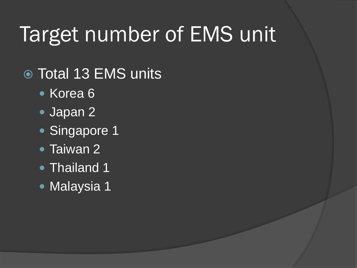## Target number of EMS unit

- Total 13 EMS units
	- Korea 6
	- Japan 2
	- Singapore 1
	- **Taiwan 2**
	- Thailand 1
	- Malaysia 1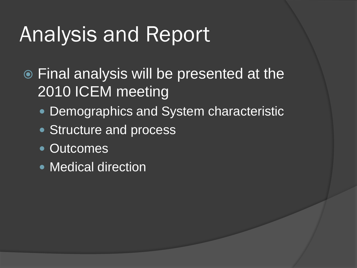## Analysis and Report

- Final analysis will be presented at the 2010 ICEM meeting
	- **Demographics and System characteristic**
	- Structure and process
	- Outcomes
	- Medical direction